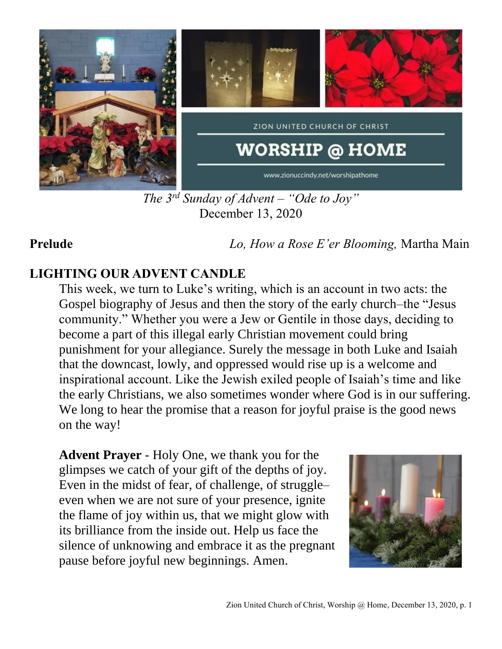

*The 3rd Sunday of Advent – "Ode to Joy"* December 13, 2020

**Prelude** *Lo, How a Rose E'er Blooming,* Martha Main

## **LIGHTING OUR ADVENT CANDLE**

This week, we turn to Luke's writing, which is an account in two acts: the Gospel biography of Jesus and then the story of the early church–the "Jesus community." Whether you were a Jew or Gentile in those days, deciding to become a part of this illegal early Christian movement could bring punishment for your allegiance. Surely the message in both Luke and Isaiah that the downcast, lowly, and oppressed would rise up is a welcome and inspirational account. Like the Jewish exiled people of Isaiah's time and like the early Christians, we also sometimes wonder where God is in our suffering. We long to hear the promise that a reason for joyful praise is the good news on the way!

**Advent Prayer** - Holy One, we thank you for the glimpses we catch of your gift of the depths of joy. Even in the midst of fear, of challenge, of struggle– even when we are not sure of your presence, ignite the flame of joy within us, that we might glow with its brilliance from the inside out. Help us face the silence of unknowing and embrace it as the pregnant pause before joyful new beginnings. Amen.

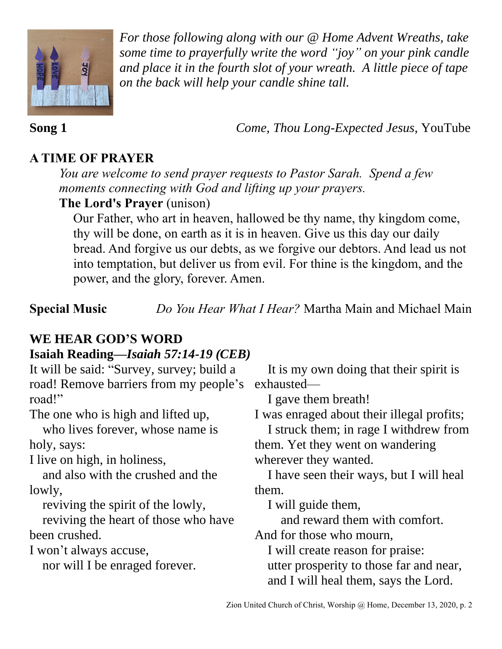

*For those following along with our @ Home Advent Wreaths, take some time to prayerfully write the word "joy" on your pink candle and place it in the fourth slot of your wreath. A little piece of tape on the back will help your candle shine tall.* 

**Song 1** *Come, Thou Long-Expected Jesus*, YouTube

## **A TIME OF PRAYER**

*You are welcome to send prayer requests to Pastor Sarah. Spend a few moments connecting with God and lifting up your prayers.*

### **The Lord's Prayer** (unison)

Our Father, who art in heaven, hallowed be thy name, thy kingdom come, thy will be done, on earth as it is in heaven. Give us this day our daily bread. And forgive us our debts, as we forgive our debtors. And lead us not into temptation, but deliver us from evil. For thine is the kingdom, and the power, and the glory, forever. Amen.

**Special Music** *Do You Hear What I Hear?* Martha Main and Michael Main

# **WE HEAR GOD'S WORD**

## **Isaiah Reading—***Isaiah 57:14-19 (CEB)*

| It will be said: "Survey, survey; build a | It is my own doing that their spirit is    |
|-------------------------------------------|--------------------------------------------|
| road! Remove barriers from my people's    | exhausted-                                 |
| road!"                                    | I gave them breath!                        |
| The one who is high and lifted up,        | I was enraged about their illegal profits; |
| who lives forever, whose name is          | I struck them; in rage I withdrew from     |
| holy, says:                               | them. Yet they went on wandering           |
| I live on high, in holiness,              | wherever they wanted.                      |
| and also with the crushed and the         | I have seen their ways, but I will heal    |
| lowly,                                    | them.                                      |
| reviving the spirit of the lowly,         | I will guide them,                         |
| reviving the heart of those who have      | and reward them with comfort.              |
| been crushed.                             | And for those who mourn,                   |
| I won't always accuse,                    | I will create reason for praise:           |
| nor will I be enraged forever.            | utter prosperity to those far and near,    |
|                                           | and I will heal them, says the Lord.       |
|                                           |                                            |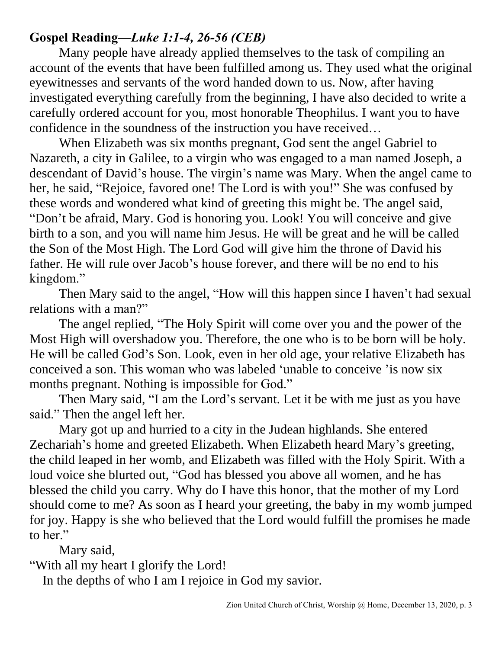### **Gospel Reading—***Luke 1:1-4, 26-56 (CEB)*

Many people have already applied themselves to the task of compiling an account of the events that have been fulfilled among us. They used what the original eyewitnesses and servants of the word handed down to us. Now, after having investigated everything carefully from the beginning, I have also decided to write a carefully ordered account for you, most honorable Theophilus. I want you to have confidence in the soundness of the instruction you have received…

When Elizabeth was six months pregnant, God sent the angel Gabriel to Nazareth, a city in Galilee, to a virgin who was engaged to a man named Joseph, a descendant of David's house. The virgin's name was Mary. When the angel came to her, he said, "Rejoice, favored one! The Lord is with you!" She was confused by these words and wondered what kind of greeting this might be. The angel said, "Don't be afraid, Mary. God is honoring you. Look! You will conceive and give birth to a son, and you will name him Jesus. He will be great and he will be called the Son of the Most High. The Lord God will give him the throne of David his father. He will rule over Jacob's house forever, and there will be no end to his kingdom."

Then Mary said to the angel, "How will this happen since I haven't had sexual relations with a man?"

The angel replied, "The Holy Spirit will come over you and the power of the Most High will overshadow you. Therefore, the one who is to be born will be holy. He will be called God's Son. Look, even in her old age, your relative Elizabeth has conceived a son. This woman who was labeled 'unable to conceive 'is now six months pregnant. Nothing is impossible for God."

Then Mary said, "I am the Lord's servant. Let it be with me just as you have said." Then the angel left her.

Mary got up and hurried to a city in the Judean highlands. She entered Zechariah's home and greeted Elizabeth. When Elizabeth heard Mary's greeting, the child leaped in her womb, and Elizabeth was filled with the Holy Spirit. With a loud voice she blurted out, "God has blessed you above all women, and he has blessed the child you carry. Why do I have this honor, that the mother of my Lord should come to me? As soon as I heard your greeting, the baby in my womb jumped for joy. Happy is she who believed that the Lord would fulfill the promises he made to her."

Mary said,

"With all my heart I glorify the Lord!

In the depths of who I am I rejoice in God my savior.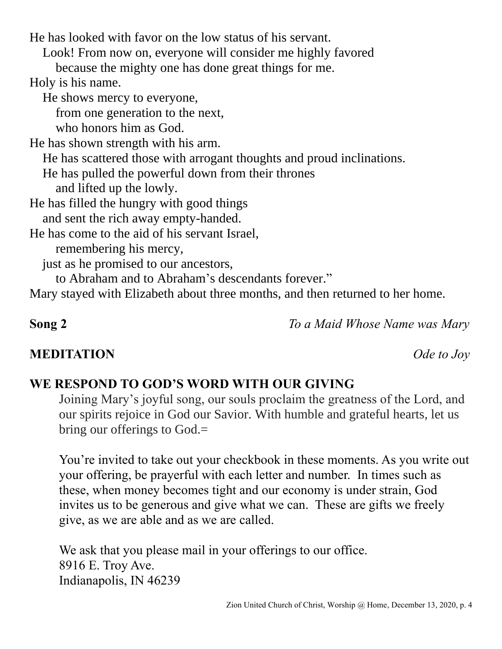Look! From now on, everyone will consider me highly favored because the mighty one has done great things for me. Holy is his name. He shows mercy to everyone, from one generation to the next, who honors him as God. He has shown strength with his arm. He has scattered those with arrogant thoughts and proud inclinations. He has pulled the powerful down from their thrones and lifted up the lowly. He has filled the hungry with good things and sent the rich away empty-handed. He has come to the aid of his servant Israel, remembering his mercy, just as he promised to our ancestors, to Abraham and to Abraham's descendants forever."

He has looked with favor on the low status of his servant.

Mary stayed with Elizabeth about three months, and then returned to her home.

**Song 2** *To a Maid Whose Name was Mary*

# **WE RESPOND TO GOD'S WORD WITH OUR GIVING**

Joining Mary's joyful song, our souls proclaim the greatness of the Lord, and our spirits rejoice in God our Savior. With humble and grateful hearts, let us bring our offerings to God.=

You're invited to take out your checkbook in these moments. As you write out your offering, be prayerful with each letter and number. In times such as these, when money becomes tight and our economy is under strain, God invites us to be generous and give what we can. These are gifts we freely give, as we are able and as we are called.

We ask that you please mail in your offerings to our office. 8916 E. Troy Ave. Indianapolis, IN 46239

# **MEDITATION** *Ode to Joy*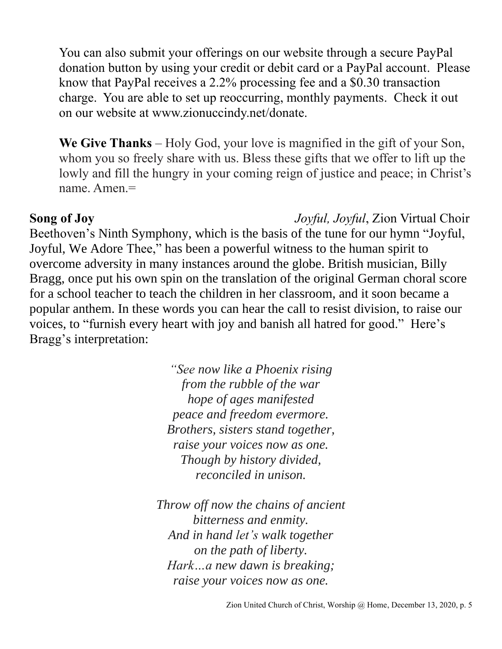You can also submit your offerings on our website through a secure PayPal donation button by using your credit or debit card or a PayPal account. Please know that PayPal receives a 2.2% processing fee and a \$0.30 transaction charge. You are able to set up reoccurring, monthly payments. Check it out on our website at www.zionuccindy.net/donate.

**We Give Thanks** – Holy God, your love is magnified in the gift of your Son, whom you so freely share with us. Bless these gifts that we offer to lift up the lowly and fill the hungry in your coming reign of justice and peace; in Christ's name. Amen.=

**Song of Joy** *Joyful, Joyful*, Zion Virtual Choir

Beethoven's Ninth Symphony, which is the basis of the tune for our hymn "Joyful, Joyful, We Adore Thee," has been a powerful witness to the human spirit to overcome adversity in many instances around the globe. British musician, Billy Bragg, once put his own spin on the translation of the original German choral score for a school teacher to teach the children in her classroom, and it soon became a popular anthem. In these words you can hear the call to resist division, to raise our voices, to "furnish every heart with joy and banish all hatred for good." Here's Bragg's interpretation:

> *"See now like a Phoenix rising from the rubble of the war hope of ages manifested peace and freedom evermore. Brothers, sisters stand together, raise your voices now as one. Though by history divided, reconciled in unison.*

*Throw off now the chains of ancient bitterness and enmity. And in hand let's walk together on the path of liberty. Hark…a new dawn is breaking; raise your voices now as one.*